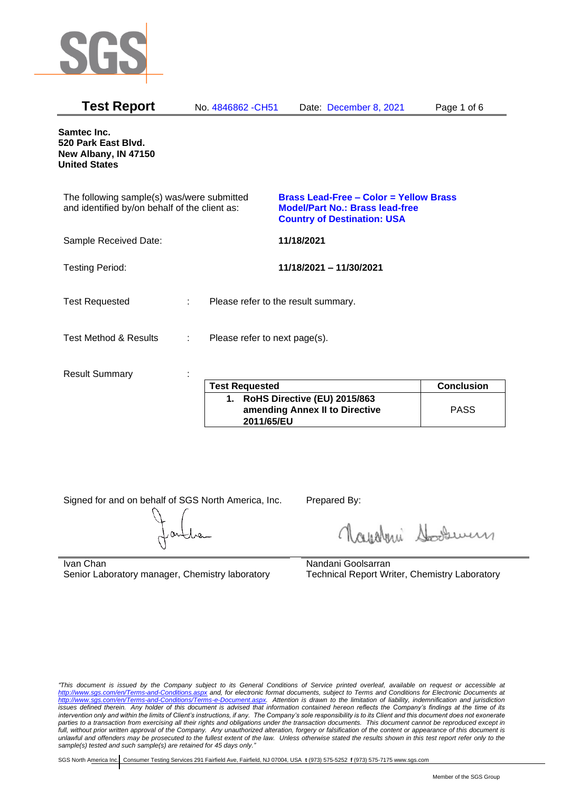

| <b>Test Report</b>                                                                          |   | No. 4846862 - CH51                  |            | Date: December 8, 2021                                                                                                        | Page 1 of 6       |
|---------------------------------------------------------------------------------------------|---|-------------------------------------|------------|-------------------------------------------------------------------------------------------------------------------------------|-------------------|
| Samtec Inc.<br>520 Park East Blvd.<br>New Albany, IN 47150<br><b>United States</b>          |   |                                     |            |                                                                                                                               |                   |
| The following sample(s) was/were submitted<br>and identified by/on behalf of the client as: |   |                                     |            | <b>Brass Lead-Free - Color = Yellow Brass</b><br><b>Model/Part No.: Brass lead-free</b><br><b>Country of Destination: USA</b> |                   |
| Sample Received Date:                                                                       |   |                                     | 11/18/2021 |                                                                                                                               |                   |
| <b>Testing Period:</b>                                                                      |   |                                     |            | 11/18/2021 - 11/30/2021                                                                                                       |                   |
| <b>Test Requested</b>                                                                       |   | Please refer to the result summary. |            |                                                                                                                               |                   |
| <b>Test Method &amp; Results</b>                                                            | ÷ | Please refer to next page(s).       |            |                                                                                                                               |                   |
| <b>Result Summary</b>                                                                       |   |                                     |            |                                                                                                                               |                   |
|                                                                                             |   | <b>Test Requested</b>               |            |                                                                                                                               | <b>Conclusion</b> |

| <b>Test Requested</b>                                                           | <b>Conclusion</b> |
|---------------------------------------------------------------------------------|-------------------|
| 1. RoHS Directive (EU) 2015/863<br>amending Annex II to Directive<br>2011/65/EU | <b>PASS</b>       |

Signed for and on behalf of SGS North America, Inc. Prepared By:

Napoleri Sooseman

Ivan Chan Senior Laboratory manager, Chemistry laboratory Nandani Goolsarran Technical Report Writer, Chemistry Laboratory

*"This document is issued by the Company subject to its General Conditions of Service printed overleaf, available on request or accessible at <http://www.sgs.com/en/Terms-and-Conditions.aspx> and, for electronic format documents, subject to Terms and Conditions for Electronic Documents at [http://www.sgs.com/en/Terms-and-Conditions/Terms-e-Document.aspx.](http://www.sgs.com/en/Terms-and-Conditions/Terms-e-Document.aspx) Attention is drawn to the limitation of liability, indemnification and jurisdiction issues defined therein. Any holder of this document is advised that information contained hereon reflects the Company's findings at the time of its intervention only and within the limits of Client's instructions, if any. The Company's sole responsibility is to its Client and this document does not exonerate parties to a transaction from exercising all their rights and obligations under the transaction documents. This document cannot be reproduced except in full, without prior written approval of the Company. Any unauthorized alteration, forgery or falsification of the content or appearance of this document is unlawful and offenders may be prosecuted to the fullest extent of the law. Unless otherwise stated the results shown in this test report refer only to the sample(s) tested and such sample(s) are retained for 45 days only."*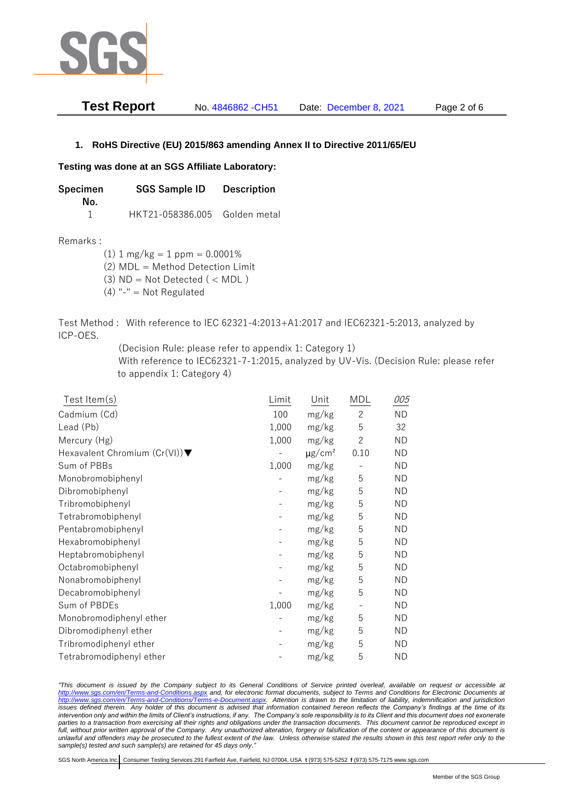

| <b>Test Report</b> | No. 4846862 - CH51 | Date: December 8, 2021 | Page 2 of 6 |
|--------------------|--------------------|------------------------|-------------|
|--------------------|--------------------|------------------------|-------------|

## **1. RoHS Directive (EU) 2015/863 amending Annex II to Directive 2011/65/EU**

## **Testing was done at an SGS Affiliate Laboratory:**

**Specimen SGS Sample ID Description No.** 1 HKT21-058386.005 Golden metal

Remarks :

 $(1)$  1 mg/kg = 1 ppm = 0.0001%

(2) MDL = Method Detection Limit

- $(3)$  ND = Not Detected  $($  < MDL)
- (4) "-" = Not Regulated

Test Method : With reference to IEC 62321-4:2013+A1:2017 and IEC62321-5:2013, analyzed by ICP-OES.

(Decision Rule: please refer to appendix 1: Category 1)

With reference to IEC62321-7-1:2015, analyzed by UV-Vis. (Decision Rule: please refer to appendix 1: Category 4)

| Test Item(s)                  | Limit | Unit                    | MDL                      | 005       |
|-------------------------------|-------|-------------------------|--------------------------|-----------|
| Cadmium (Cd)                  | 100   | mg/kg                   | $\overline{2}$           | <b>ND</b> |
| Lead (Pb)                     | 1,000 | mg/kg                   | 5                        | 32        |
| Mercury (Hg)                  | 1,000 | mg/kg                   | $\mathbf{2}$             | <b>ND</b> |
| Hexavalent Chromium (Cr(VI))▼ |       | $\mu$ g/cm <sup>2</sup> | 0.10                     | <b>ND</b> |
| Sum of PBBs                   | 1,000 | mg/kg                   |                          | <b>ND</b> |
| Monobromobiphenyl             |       | mg/kg                   | 5                        | <b>ND</b> |
| Dibromobiphenyl               |       | mg/kg                   | 5                        | ΝD        |
| Tribromobiphenyl              |       | mg/kg                   | 5                        | <b>ND</b> |
| Tetrabromobiphenyl            |       | mg/kg                   | 5                        | <b>ND</b> |
| Pentabromobiphenyl            |       | mg/kg                   | 5                        | <b>ND</b> |
| Hexabromobiphenyl             |       | mg/kg                   | 5                        | ΝD        |
| Heptabromobiphenyl            |       | mg/kg                   | 5                        | <b>ND</b> |
| Octabromobiphenyl             |       | mg/kg                   | 5                        | <b>ND</b> |
| Nonabromobiphenyl             |       | mg/kg                   | 5                        | <b>ND</b> |
| Decabromobiphenyl             |       | mg/kg                   | 5                        | <b>ND</b> |
| Sum of PBDEs                  | 1,000 | mg/kg                   | $\overline{\phantom{a}}$ | <b>ND</b> |
| Monobromodiphenyl ether       |       | mg/kg                   | 5                        | <b>ND</b> |
| Dibromodiphenyl ether         |       | mg/kg                   | 5                        | <b>ND</b> |
| Tribromodiphenyl ether        |       | mg/kg                   | 5                        | ND        |
| Tetrabromodiphenyl ether      |       | mg/kg                   | 5                        | <b>ND</b> |

*"This document is issued by the Company subject to its General Conditions of Service printed overleaf, available on request or accessible at <http://www.sgs.com/en/Terms-and-Conditions.aspx> and, for electronic format documents, subject to Terms and Conditions for Electronic Documents at [http://www.sgs.com/en/Terms-and-Conditions/Terms-e-Document.aspx.](http://www.sgs.com/en/Terms-and-Conditions/Terms-e-Document.aspx) Attention is drawn to the limitation of liability, indemnification and jurisdiction issues defined therein. Any holder of this document is advised that information contained hereon reflects the Company's findings at the time of its intervention only and within the limits of Client's instructions, if any. The Company's sole responsibility is to its Client and this document does not exonerate*  parties to a transaction from exercising all their rights and obligations under the transaction documents. This document cannot be reproduced except in *full, without prior written approval of the Company. Any unauthorized alteration, forgery or falsification of the content or appearance of this document is unlawful and offenders may be prosecuted to the fullest extent of the law. Unless otherwise stated the results shown in this test report refer only to the sample(s) tested and such sample(s) are retained for 45 days only."*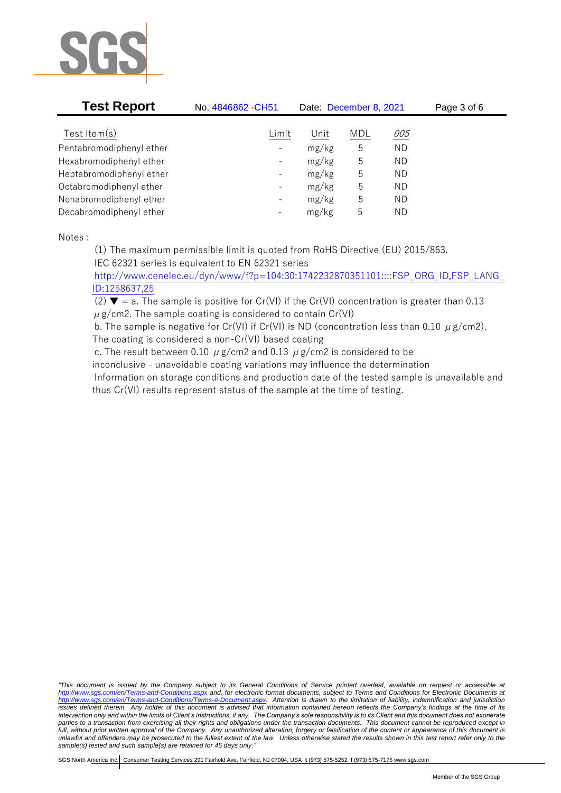

| <b>Test Report</b>       | No. 4846862 - CH51       | Date: December 8, 2021 |            |            | Page 3 of 6 |
|--------------------------|--------------------------|------------------------|------------|------------|-------------|
| Test Item $(s)$          | Limit                    | Unit                   | <b>MDL</b> | <u>005</u> |             |
| Pentabromodiphenyl ether | $\overline{\phantom{a}}$ | mg/kg                  | 5          | <b>ND</b>  |             |
| Hexabromodiphenyl ether  | $\overline{\phantom{a}}$ | mg/kg                  | 5          | <b>ND</b>  |             |
| Heptabromodiphenyl ether | $\overline{\phantom{a}}$ | mg/kg                  | 5          | <b>ND</b>  |             |
| Octabromodiphenyl ether  | $\overline{\phantom{a}}$ | mg/kg                  | 5          | <b>ND</b>  |             |
| Nonabromodiphenyl ether  | $\overline{\phantom{a}}$ | mg/kg                  | 5          | ΝD         |             |
| Decabromodiphenyl ether  | $\overline{\phantom{a}}$ | mg/kg                  | 5          | ΝD         |             |

Notes :

(1) The maximum permissible limit is quoted from RoHS Directive (EU) 2015/863.

IEC 62321 series is equivalent to EN 62321 series

[http://www.cenelec.eu/dyn/www/f?p=104:30:1742232870351101::::FSP\\_ORG\\_ID,FSP\\_LANG\\_](http://www.cenelec.eu/dyn/www/f?p=104:30:1742232870351101::::FSP_ORG_ID,FSP_LANG_ID:1258637,25) [ID:1258637,25](http://www.cenelec.eu/dyn/www/f?p=104:30:1742232870351101::::FSP_ORG_ID,FSP_LANG_ID:1258637,25)

(2)  $\blacktriangledown$  = a. The sample is positive for Cr(VI) if the Cr(VI) concentration is greater than 0.13  $\mu$  g/cm2. The sample coating is considered to contain Cr(VI)

b. The sample is negative for Cr(VI) if Cr(VI) is ND (concentration less than 0.10  $\mu$  g/cm2). The coating is considered a non-Cr(VI) based coating

c. The result between 0.10  $\mu$  g/cm2 and 0.13  $\mu$  g/cm2 is considered to be

inconclusive - unavoidable coating variations may influence the determination

Information on storage conditions and production date of the tested sample is unavailable and thus Cr(VI) results represent status of the sample at the time of testing.

*"This document is issued by the Company subject to its General Conditions of Service printed overleaf, available on request or accessible at <http://www.sgs.com/en/Terms-and-Conditions.aspx> and, for electronic format documents, subject to Terms and Conditions for Electronic Documents at [http://www.sgs.com/en/Terms-and-Conditions/Terms-e-Document.aspx.](http://www.sgs.com/en/Terms-and-Conditions/Terms-e-Document.aspx) Attention is drawn to the limitation of liability, indemnification and jurisdiction issues defined therein. Any holder of this document is advised that information contained hereon reflects the Company's findings at the time of its intervention only and within the limits of Client's instructions, if any. The Company's sole responsibility is to its Client and this document does not exonerate parties to a transaction from exercising all their rights and obligations under the transaction documents. This document cannot be reproduced except in full, without prior written approval of the Company. Any unauthorized alteration, forgery or falsification of the content or appearance of this document is unlawful and offenders may be prosecuted to the fullest extent of the law. Unless otherwise stated the results shown in this test report refer only to the sample(s) tested and such sample(s) are retained for 45 days only."*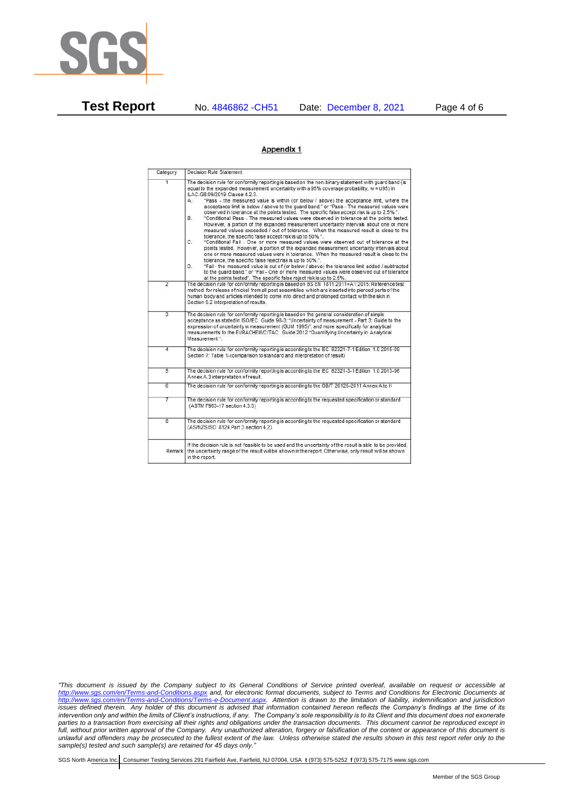

**Test Report** No. 4846862 -CH51 Date: December 8, 2021 Page 4 of 6

## Appendix 1

| Category       | Decision Rule Statement                                                                                                                                                                                                                                                                                                                                                                                                                                                                                                                                                                                                                                                                                                                                                                                                                                                                                                                                                                                                                                                                                                                                                                                                                                                                                                                                                                                                                                                                                            |
|----------------|--------------------------------------------------------------------------------------------------------------------------------------------------------------------------------------------------------------------------------------------------------------------------------------------------------------------------------------------------------------------------------------------------------------------------------------------------------------------------------------------------------------------------------------------------------------------------------------------------------------------------------------------------------------------------------------------------------------------------------------------------------------------------------------------------------------------------------------------------------------------------------------------------------------------------------------------------------------------------------------------------------------------------------------------------------------------------------------------------------------------------------------------------------------------------------------------------------------------------------------------------------------------------------------------------------------------------------------------------------------------------------------------------------------------------------------------------------------------------------------------------------------------|
| $\overline{1}$ | The decision rule for conformity reporting is based on the non-binary statement with quard band (is<br>equal to the expanded measurement uncertainty with a 95% coverage probability, w = U95) in<br>ILAC-G8:09/2019 Clause 4.2.3.<br>"Pass - the measured value is within (or below / above) the acceptance limit, where the<br>А.<br>acceptance limit is below / above to the quard band." or "Pass - The measured values were<br>observed in tolerance at the points tested. The specific false accept risk is up to 2.5%.".<br>"Conditional Pass - The measured values were observed in tolerance at the points tested.<br>В.<br>However, a portion of the expanded measurement uncertainty intervals about one or more<br>measured values exceeded / out of tolerance. When the measured result is close to the<br>tolerance, the specific false accept risk is up to 50%.".<br>C.<br>"Conditional Fail - One or more measured values were observed out of tolerance at the<br>points tested. However, a portion of the expanded measurement uncertainty intervals about<br>one or more measured values were in tolerance. When the measured result is close to the<br>tolerance, the specific false reject risk is up to 50%.".<br>"Fail - the measured value is out of (or below / above) the tolerance limit added / subtracted<br>D.<br>to the quard band." or "Fail - One or more measured values were observed out of tolerance<br>at the points tested". The specific false reject risk is up to 2.5%. |
| $\overline{2}$ | The decision rule for conformity reporting is based on BS EN 1811:2011+A1:2015: Reference test<br>method for release of nickel from all post assemblies which are inserted into pierced parts of the<br>human body and articles intended to come into direct and prolonged contact with the skin in<br>Section 9.2 interpretation of results.                                                                                                                                                                                                                                                                                                                                                                                                                                                                                                                                                                                                                                                                                                                                                                                                                                                                                                                                                                                                                                                                                                                                                                      |
| $\overline{3}$ | The decision rule for conformity reporting is based on the general consideration of simple<br>acceptance as stated in ISO/IEC Guide 98-3: "Uncertainty of measurement - Part 3: Guide to the<br>expression of uncertainty in measurement (GUM 1995)", and more specifically for analytical<br>measurements to the EURACHEM/CITAC Guide 2012 "Quantifying Uncertainty in Analytical<br>Measurement *                                                                                                                                                                                                                                                                                                                                                                                                                                                                                                                                                                                                                                                                                                                                                                                                                                                                                                                                                                                                                                                                                                                |
| 4              | The decision rule for conformity reporting is according to the IEC 62321-7-1 Edition 1.0 2015-09<br>Section 7: Table 1-(comparison to standard and interpretation of result)                                                                                                                                                                                                                                                                                                                                                                                                                                                                                                                                                                                                                                                                                                                                                                                                                                                                                                                                                                                                                                                                                                                                                                                                                                                                                                                                       |
| $\overline{5}$ | The decision rule for conformity reporting is according to the IEC 62321-3-1 Edition 1.0 2013-06<br>Annex A.3 interpretation of result.                                                                                                                                                                                                                                                                                                                                                                                                                                                                                                                                                                                                                                                                                                                                                                                                                                                                                                                                                                                                                                                                                                                                                                                                                                                                                                                                                                            |
| $\overline{6}$ | The decision rule for conformity reporting is according to the GB/T 26125-2011 Annex A to H                                                                                                                                                                                                                                                                                                                                                                                                                                                                                                                                                                                                                                                                                                                                                                                                                                                                                                                                                                                                                                                                                                                                                                                                                                                                                                                                                                                                                        |
| 7              | The decision rule for conformity reporting is according to the requested specification or standard<br>(ASTM F963-17 section 4.3.5)                                                                                                                                                                                                                                                                                                                                                                                                                                                                                                                                                                                                                                                                                                                                                                                                                                                                                                                                                                                                                                                                                                                                                                                                                                                                                                                                                                                 |
| $\overline{8}$ | The decision rule for conformity reporting is according to the requested specification or standard<br>(AS/NZS ISO 8124 Part 3 section 4.2)                                                                                                                                                                                                                                                                                                                                                                                                                                                                                                                                                                                                                                                                                                                                                                                                                                                                                                                                                                                                                                                                                                                                                                                                                                                                                                                                                                         |
| Remark         | If the decision rule is not feasible to be used and the uncertainty of the result is able to be provided.<br>the uncertainty range of the result will be shown in the report. Otherwise, only result will be shown<br>in the report.                                                                                                                                                                                                                                                                                                                                                                                                                                                                                                                                                                                                                                                                                                                                                                                                                                                                                                                                                                                                                                                                                                                                                                                                                                                                               |

*"This document is issued by the Company subject to its General Conditions of Service printed overleaf, available on request or accessible at <http://www.sgs.com/en/Terms-and-Conditions.aspx> and, for electronic format documents, subject to Terms and Conditions for Electronic Documents at [http://www.sgs.com/en/Terms-and-Conditions/Terms-e-Document.aspx.](http://www.sgs.com/en/Terms-and-Conditions/Terms-e-Document.aspx) Attention is drawn to the limitation of liability, indemnification and jurisdiction issues defined therein. Any holder of this document is advised that information contained hereon reflects the Company's findings at the time of its intervention only and within the limits of Client's instructions, if any. The Company's sole responsibility is to its Client and this document does not exonerate parties to a transaction from exercising all their rights and obligations under the transaction documents. This document cannot be reproduced except in full, without prior written approval of the Company. Any unauthorized alteration, forgery or falsification of the content or appearance of this document is unlawful and offenders may be prosecuted to the fullest extent of the law. Unless otherwise stated the results shown in this test report refer only to the sample(s) tested and such sample(s) are retained for 45 days only."*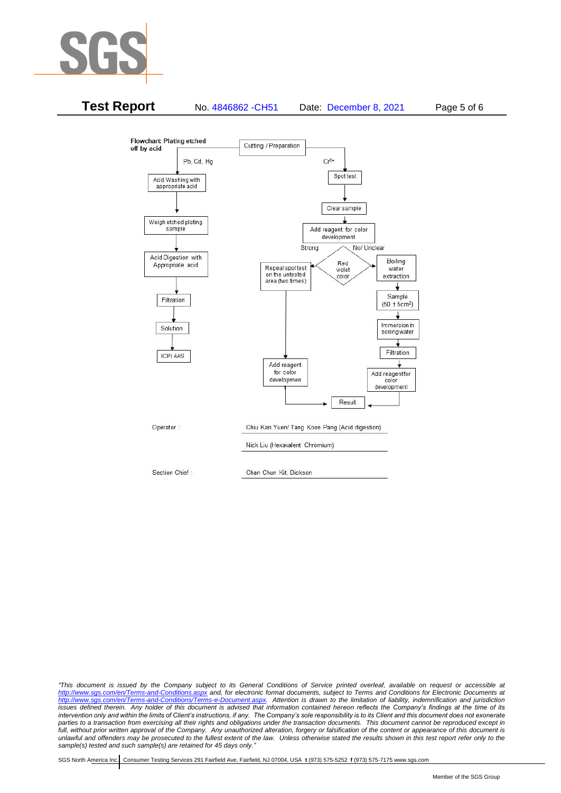



*"This document is issued by the Company subject to its General Conditions of Service printed overleaf, available on request or accessible at <http://www.sgs.com/en/Terms-and-Conditions.aspx> and, for electronic format documents, subject to Terms and Conditions for Electronic Documents at [http://www.sgs.com/en/Terms-and-Conditions/Terms-e-Document.aspx.](http://www.sgs.com/en/Terms-and-Conditions/Terms-e-Document.aspx) Attention is drawn to the limitation of liability, indemnification and jurisdiction issues defined therein. Any holder of this document is advised that information contained hereon reflects the Company's findings at the time of its intervention only and within the limits of Client's instructions, if any. The Company's sole responsibility is to its Client and this document does not exonerate*  parties to a transaction from exercising all their rights and obligations under the transaction documents. This document cannot be reproduced except in *full, without prior written approval of the Company. Any unauthorized alteration, forgery or falsification of the content or appearance of this document is unlawful and offenders may be prosecuted to the fullest extent of the law. Unless otherwise stated the results shown in this test report refer only to the sample(s) tested and such sample(s) are retained for 45 days only."*